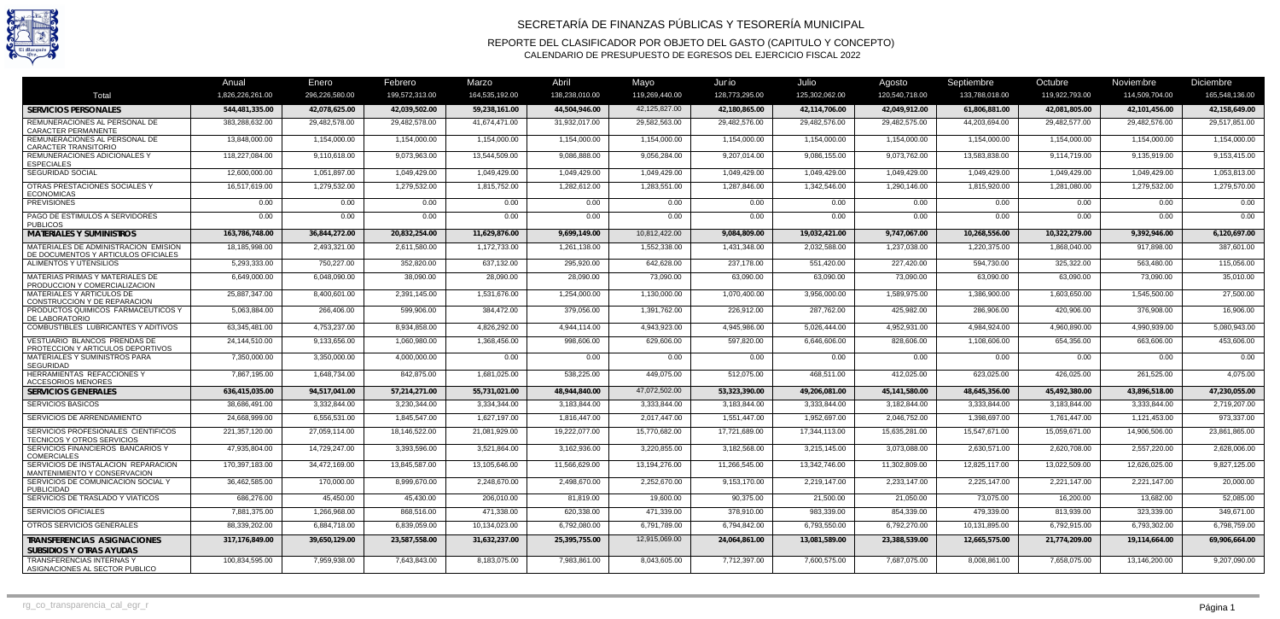

## SECRETARÍA DE FINANZAS PÚBLICAS Y TESORERÍA MUNICIPAL

REPORTE DEL CLASIFICADOR POR OBJETO DEL GASTO (CAPITULO Y CONCEPTO) CALENDARIO DE PRESUPUESTO DE EGRESOS DEL EJERCICIO FISCAL 2022

|                                                                             | Anual            | Enero          | Febrero        | Marzo          | Abril          | Mayo           | Junio          | Julio          | Agosto         | Septiembre     | Octubre        | Noviembre      | <b>Diciembre</b> |
|-----------------------------------------------------------------------------|------------------|----------------|----------------|----------------|----------------|----------------|----------------|----------------|----------------|----------------|----------------|----------------|------------------|
| Total                                                                       | 1.826.226.261.00 | 296,226,580.00 | 199,572,313.00 | 164,535,192.00 | 138,238,010.00 | 119,269,440.00 | 128,773,295.00 | 125,302,062.00 | 120,540,718.00 | 133,788,018.00 | 119,922,793.00 | 114,509,704.00 | 165.548.136.00   |
| <b>SERVICIOS PERSONALES</b>                                                 | 544,481,335.00   | 42,078,625.00  | 42,039,502.00  | 59,238,161.00  | 44.504.946.00  | 42,125,827.00  | 42,180,865.00  | 42,114,706.00  | 42,049,912.00  | 61,806,881.00  | 42,081,805.00  | 42,101,456.00  | 42.158.649.00    |
| REMUNERACIONES AL PERSONAL DE<br><b>CARACTER PERMANENTE</b>                 | 383,288,632.00   | 29,482,578.00  | 29,482,578.00  | 41,674,471.00  | 31,932,017.00  | 29,582,563.00  | 29,482,576.00  | 29,482,576.00  | 29,482,575.00  | 44,203,694.00  | 29,482,577.00  | 29,482,576.00  | 29,517,851.00    |
| REMUNERACIONES AL PERSONAL DE<br><b>CARACTER TRANSITORIO</b>                | 13,848,000.00    | 1,154,000.00   | 1,154,000.00   | 1,154,000.00   | 1,154,000.00   | 1,154,000.00   | 1,154,000.00   | 1,154,000.00   | 1,154,000.00   | 1,154,000.00   | 1,154,000.00   | 1,154,000.00   | 1,154,000.00     |
| REMUNERACIONES ADICIONALES Y<br><b>ESPECIALES</b>                           | 118,227,084.00   | 9,110,618.00   | 9,073,963.00   | 13,544,509.00  | 9,086,888.00   | 9,056,284.00   | 9,207,014.00   | 9,086,155.00   | 9,073,762.00   | 13,583,838.00  | 9,114,719.00   | 9,135,919.00   | 9,153,415.00     |
| SEGURIDAD SOCIAL                                                            | 12,600,000.00    | 1,051,897.00   | 1,049,429.00   | 1,049,429.00   | 1,049,429.00   | 1,049,429.00   | 1,049,429.00   | 1,049,429.00   | 1,049,429.00   | 1,049,429.00   | 1,049,429.00   | 1,049,429.00   | 1,053,813.00     |
| OTRAS PRESTACIONES SOCIALES Y<br><b>ECONOMICAS</b>                          | 16,517,619.00    | 1,279,532.00   | 1,279,532.00   | 1,815,752.00   | 1,282,612.00   | 1,283,551.00   | 1,287,846.00   | 1,342,546.00   | 1,290,146.00   | 1,815,920.00   | 1,281,080.00   | 1,279,532.00   | 1,279,570.00     |
| <b>PREVISIONES</b>                                                          | 0.00             | $0.00\,$       | 0.00           | 0.00           | 0.00           | 0.00           | 0.00           | 0.00           | 0.00           | $0.00\,$       | 0.00           | 0.00           | 0.00             |
| PAGO DE ESTIMULOS A SERVIDORES<br><b>PUBLICOS</b>                           | 0.00             | 0.00           | 0.00           | 0.00           | 0.00           | 0.00           | 0.00           | 0.00           | 0.00           | 0.00           | 0.00           | 0.00           | 0.00             |
| <b>MATERIALES Y SUMINISTROS</b>                                             | 163,786,748.00   | 36,844,272.00  | 20,832,254.00  | 11,629,876.00  | 9.699,149.00   | 10,812,422.00  | 9,084,809.00   | 19,032,421.00  | 9,747,067.00   | 10,268,556.00  | 10,322,279.00  | 9,392,946.00   | 6,120,697.00     |
| MATERIALES DE ADMINISTRACION EMISION<br>DE DOCUMENTOS Y ARTICULOS OFICIALES | 18,185,998.00    | 2,493,321.00   | 2,611,580.00   | 1,172,733.00   | 1,261,138.00   | 1,552,338.00   | 1,431,348.00   | 2,032,588.00   | 1,237,038.00   | 1,220,375.00   | 1,868,040.00   | 917,898.00     | 387,601.00       |
| ALIMENTOS Y UTENSILIOS                                                      | 5,293,333.00     | 750,227.00     | 352,820.00     | 637,132.00     | 295,920.00     | 642,628.00     | 237,178.00     | 551,420.00     | 227,420.00     | 594,730.00     | 325,322.00     | 563,480.00     | 115,056.00       |
| MATERIAS PRIMAS Y MATERIALES DE<br>PRODUCCION Y COMERCIALIZACION            | 6,649,000.00     | 6,048,090.00   | 38,090.00      | 28,090.00      | 28,090.00      | 73,090.00      | 63,090.00      | 63,090.00      | 73,090.00      | 63,090.00      | 63,090.00      | 73,090.00      | 35,010.00        |
| MATERIALES Y ARTICULOS DE<br>CONSTRUCCION Y DE REPARACION                   | 25,887,347.00    | 8,400,601.00   | 2,391,145.00   | 1,531,676.00   | 1.254.000.00   | 1,130,000.00   | 1.070.400.00   | 3,956,000.00   | 1.589.975.00   | 1,386,900.00   | 1.603.650.00   | 1,545,500.00   | 27,500.00        |
| PRODUCTOS QUIMICOS FARMACEUTICOS Y<br>DE LABORATORIO                        | 5,063,884.00     | 266,406.00     | 599,906.00     | 384,472.00     | 379,056.00     | 1,391,762.00   | 226,912.00     | 287,762.00     | 425.982.00     | 286,906.00     | 420,906.00     | 376,908.00     | 16,906.00        |
| COMBUSTIBLES LUBRICANTES Y ADITIVOS                                         | 63.345.481.00    | 4.753.237.00   | 8.934.858.00   | 4.826.292.00   | 4.944.114.00   | 4.943.923.00   | 4.945.986.00   | 5.026.444.00   | 4.952.931.00   | 4,984,924.00   | 4.960.890.00   | 4.990.939.00   | 5,080,943.00     |
| VESTUARIO BLANCOS PRENDAS DE<br>PROTECCION Y ARTICULOS DEPORTIVOS           | 24.144.510.00    | 9,133,656.00   | 1.060.980.00   | 1,368,456.00   | 998.606.00     | 629,606.00     | 597,820.00     | 6,646,606.00   | 828.606.00     | 1,108,606.00   | 654,356.00     | 663,606.00     | 453,606.00       |
| MATERIALES Y SUMINISTROS PARA<br><b>SEGURIDAD</b>                           | 7,350,000.00     | 3.350.000.00   | 4.000.000.00   | 0.00           | 0.00           | 0.00           | 0.00           | 0.00           | 0.00           | 0.00           | 0.00           | 0.00           | 0.00             |
| <b>HERRAMIENTAS REFACCIONES Y</b><br><b>ACCESORIOS MENORES</b>              | 7.867.195.00     | 1,648,734.00   | 842.875.00     | 1.681.025.00   | 538.225.00     | 449,075.00     | 512.075.00     | 468.511.00     | 412.025.00     | 623.025.00     | 426.025.00     | 261,525.00     | 4.075.00         |
| <b>SERVICIOS GENERALES</b>                                                  | 636,415,035.00   | 94,517,041.00  | 57,214,271.00  | 55,731,021.00  | 48,944,840.00  | 47.072.502.00  | 53,323,390.00  | 49,206,081.00  | 45,141,580.00  | 48,645,356.00  | 45,492,380.00  | 43,896,518.00  | 47,230,055.00    |
| <b>SERVICIOS BASICOS</b>                                                    | 38,686,491.00    | 3,332,844.00   | 3,230,344.00   | 3,334,344.00   | 3,183,844.00   | 3,333,844.00   | 3,183,844.00   | 3,333,844.00   | 3,182,844.00   | 3,333,844.00   | 3,183,844.00   | 3,333,844.00   | 2,719,207.00     |
| SERVICIOS DE ARRENDAMIENTO                                                  | 24,668,999.00    | 6,556,531.00   | 1,845,547.00   | 1,627,197.00   | 1,816,447.00   | 2,017,447.00   | 1,551,447.00   | 1,952,697.00   | 2,046,752.00   | 1,398,697.00   | 1,761,447.00   | 1,121,453.00   | 973,337.00       |
| SERVICIOS PROFESIONALES CIENTIFICOS<br><b>TECNICOS Y OTROS SERVICIOS</b>    | 221,357,120.00   | 27,059,114.00  | 18,146,522.00  | 21,081,929.00  | 19,222,077.00  | 15,770,682.00  | 17,721,689.00  | 17,344,113.00  | 15,635,281.00  | 15,547,671.00  | 15,059,671.00  | 14,906,506.00  | 23,861,865.00    |
| SERVICIOS FINANCIEROS BANCARIOS Y<br><b>COMERCIALES</b>                     | 47.935.804.00    | 14,729,247.00  | 3,393,596.00   | 3,521,864.00   | 3,162,936.00   | 3,220,855.00   | 3,182,568.00   | 3,215,145.00   | 3,073,088.00   | 2,630,571.00   | 2,620,708.00   | 2,557,220.00   | 2,628,006.00     |
| SERVICIOS DE INSTALACION REPARACION<br>MANTENIMIENTO Y CONSERVACION         | 170,397,183.00   | 34,472,169.00  | 13.845.587.00  | 13,105,646.00  | 11.566.629.00  | 13,194,276.00  | 11,266,545.00  | 13,342,746.00  | 11.302.809.00  | 12,825,117.00  | 13,022,509.00  | 12.626.025.00  | 9,827,125.00     |
| SERVICIOS DE COMUNICACION SOCIAL Y<br><b>PUBLICIDAD</b>                     | 36,462,585.00    | 170,000.00     | 8,999,670.00   | 2,248,670.00   | 2,498,670.00   | 2,252,670.00   | 9,153,170.00   | 2,219,147.00   | 2,233,147.00   | 2,225,147.00   | 2,221,147.00   | 2,221,147.00   | 20,000.00        |
| SERVICIOS DE TRASLADO Y VIATICOS                                            | 686,276.00       | 45,450.00      | 45,430.00      | 206,010.00     | 81,819.00      | 19,600.00      | 90,375.00      | 21,500.00      | 21,050.00      | 73,075.00      | 16,200.00      | 13,682.00      | 52,085.00        |
| <b>SERVICIOS OFICIALES</b>                                                  | 7,881,375.00     | 1,266,968.00   | 868,516.00     | 471,338.00     | 620,338.00     | 471,339.00     | 378,910.00     | 983,339.00     | 854,339.00     | 479,339.00     | 813,939.00     | 323,339.00     | 349,671.00       |
| OTROS SERVICIOS GENERALES                                                   | 88,339,202.00    | 6,884,718.00   | 6,839,059.00   | 10,134,023.00  | 6,792,080.00   | 6,791,789.00   | 6,794,842.00   | 6,793,550.00   | 6,792,270.00   | 10,131,895.00  | 6,792,915.00   | 6,793,302.00   | 6,798,759.00     |
| TRANSFERENCIAS ASIGNACIONES<br>SUBSIDIOS Y OTRAS AYUDAS                     | 317,176,849.00   | 39,650,129.00  | 23,587,558.00  | 31,632,237.00  | 25,395,755.00  | 12,915,069.00  | 24,064,861.00  | 13,081,589.00  | 23,388,539.00  | 12,665,575.00  | 21,774,209.00  | 19,114,664.00  | 69,906,664.00    |
| <b>TRANSFERENCIAS INTERNAS Y</b><br>ASIGNACIONES AL SECTOR PUBLICO          | 100.834.595.00   | 7.959.938.00   | 7.643.843.00   | 8.183.075.00   | 7.983.861.00   | 8.043.605.00   | 7,712,397.00   | 7,600,575.00   | 7,687,075.00   | 8.008.861.00   | 7,658,075.00   | 13.146.200.00  | 9,207,090.00     |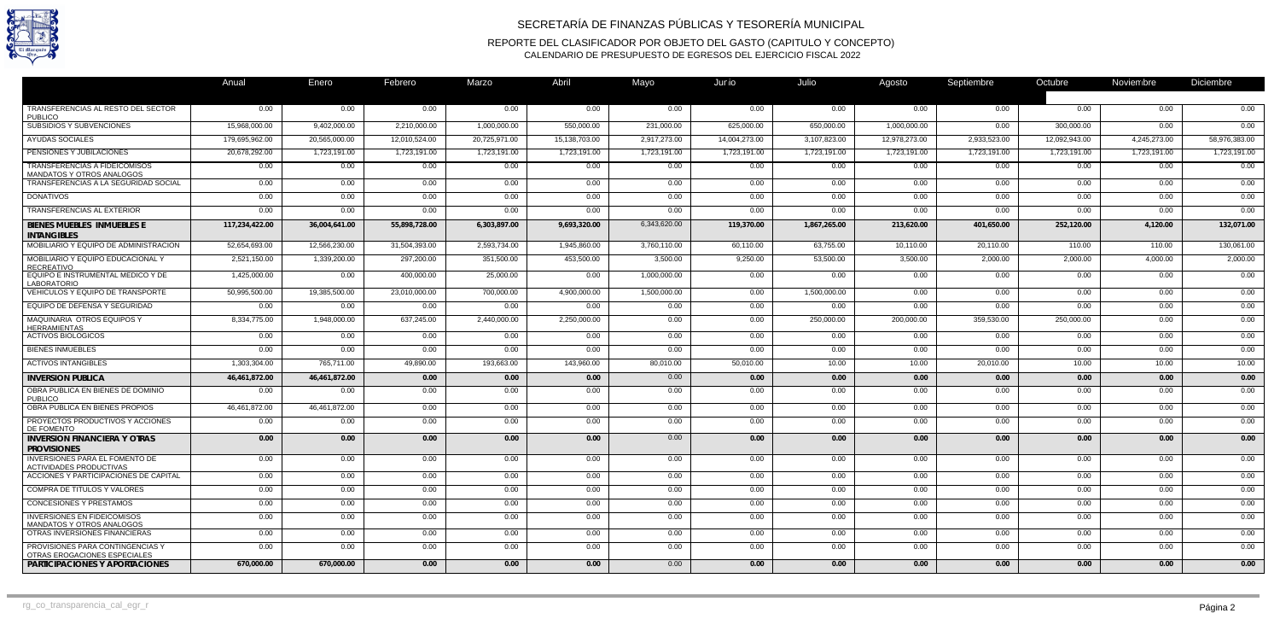

## SECRETARÍA DE FINANZAS PÚBLICAS Y TESORERÍA MUNICIPAL

REPORTE DEL CLASIFICADOR POR OBJETO DEL GASTO (CAPITULO Y CONCEPTO) CALENDARIO DE PRESUPUESTO DE EGRESOS DEL EJERCICIO FISCAL 2022

|                                                                   | Anual          | Enero         | Febrero       | Marzo         | Abril         | Mayo         | Junio         | Julio        | Agosto        | Septiembre   | Octubre       | Noviembre    | <b>Diciembre</b> |
|-------------------------------------------------------------------|----------------|---------------|---------------|---------------|---------------|--------------|---------------|--------------|---------------|--------------|---------------|--------------|------------------|
|                                                                   |                |               |               |               |               |              |               |              |               |              |               |              |                  |
| TRANSFERENCIAS AL RESTO DEL SECTOR<br><b>PUBLICO</b>              | $0.00\,$       | 0.00          | 0.00          | 0.00          | 0.00          | 0.00         | 0.00          | 0.00         | 0.00          | $0.00\,$     | 0.00          | 0.00         | 0.00             |
| SUBSIDIOS Y SUBVENCIONES                                          | 15,968,000.00  | 9,402,000.00  | 2,210,000.00  | 1,000,000.00  | 550,000.00    | 231,000.00   | 625,000.00    | 650,000.00   | 1,000,000.00  | 0.00         | 300,000.00    | 0.00         | 0.00             |
| <b>AYUDAS SOCIALES</b>                                            | 179,695,962.00 | 20,565,000.00 | 12,010,524.00 | 20,725,971.00 | 15,138,703.00 | 2,917,273.00 | 14,004,273.00 | 3,107,823.00 | 12,978,273.00 | 2,933,523.00 | 12,092,943.00 | 4,245,273.00 | 58,976,383.00    |
| PENSIONES Y JUBILACIONES                                          | 20,678,292.00  | 1,723,191.00  | 1,723,191.00  | 1,723,191.00  | 1,723,191.00  | 1,723,191.00 | 1,723,191.00  | 1,723,191.00 | 1,723,191.00  | 1,723,191.00 | 1,723,191.00  | 1,723,191.00 | 1,723,191.00     |
| <b>TRANSFERENCIAS A FIDEICOMISOS</b><br>MANDATOS Y OTROS ANALOGOS | 0.00           | 0.00          | 0.00          | 0.00          | 0.00          | 0.00         | 0.00          | 0.00         | 0.00          | 0.00         | 0.00          | 0.00         | 0.00             |
| TRANSFERENCIAS A LA SEGURIDAD SOCIAL                              | 0.00           | 0.00          | 0.00          | 0.00          | 0.00          | 0.00         | 0.00          | 0.00         | 0.00          | 0.00         | 0.00          | 0.00         | 0.00             |
| <b>DONATIVOS</b>                                                  | 0.00           | $0.00\,$      | 0.00          | 0.00          | 0.00          | 0.00         | 0.00          | 0.00         | 0.00          | $0.00\,$     | 0.00          | 0.00         | 0.00             |
| <b>TRANSFERENCIAS AL EXTERIOR</b>                                 | 0.00           | 0.00          | 0.00          | 0.00          | 0.00          | 0.00         | 0.00          | 0.00         | 0.00          | 0.00         | 0.00          | 0.00         | 0.00             |
| BIENES MUEBLES INMUEBLES E<br><b>INTANGIBLES</b>                  | 117,234,422.00 | 36,004,641.00 | 55,898,728.00 | 6,303,897.00  | 9,693,320.00  | 6,343,620.00 | 119,370.00    | 1,867,265.00 | 213,620.00    | 401,650.00   | 252,120.00    | 4,120.00     | 132,071.00       |
| MOBILIARIO Y EQUIPO DE ADMINISTRACION                             | 52,654,693.00  | 12,566,230.00 | 31,504,393.00 | 2,593,734.00  | 1,945,860.00  | 3,760,110.00 | 60,110.00     | 63,755.00    | 10,110.00     | 20,110.00    | 110.00        | 110.00       | 130,061.00       |
| MOBILIARIO Y EQUIPO EDUCACIONAL Y<br><b>RECREATIVO</b>            | 2,521,150.00   | 1,339,200.00  | 297,200.00    | 351,500.00    | 453,500.00    | 3,500.00     | 9,250.00      | 53,500.00    | 3,500.00      | 2,000.00     | 2,000.00      | 4,000.00     | 2,000.00         |
| EQUIPO E INSTRUMENTAL MEDICO Y DE<br><b>LABORATORIO</b>           | 1,425,000.00   | 0.00          | 400,000.00    | 25,000.00     | 0.00          | 1,000,000.00 | 0.00          | 0.00         | 0.00          | 0.00         | 0.00          | 0.00         | 0.00             |
| VEHICULOS Y EQUIPO DE TRANSPORTE                                  | 50,995,500.00  | 19,385,500.00 | 23,010,000.00 | 700,000.00    | 4,900,000.00  | 1,500,000.00 | 0.00          | 1,500,000.00 | 0.00          | 0.00         | 0.00          | 0.00         | 0.00             |
| EQUIPO DE DEFENSA Y SEGURIDAD                                     | 0.00           | 0.00          | 0.00          | 0.00          | 0.00          | 0.00         | 0.00          | 0.00         | 0.00          | 0.00         | 0.00          | 0.00         | 0.00             |
| MAQUINARIA OTROS EQUIPOS Y<br><b>HERRAMIENTAS</b>                 | 8,334,775.00   | 1,948,000.00  | 637,245.00    | 2,440,000.00  | 2,250,000.00  | 0.00         | 0.00          | 250,000.00   | 200,000.00    | 359,530.00   | 250,000.00    | 0.00         | 0.00             |
| <b>ACTIVOS BIOLOGICOS</b>                                         | 0.00           | $0.00\,$      | 0.00          | 0.00          | 0.00          | 0.00         | 0.00          | 0.00         | 0.00          | 0.00         | 0.00          | 0.00         | 0.00             |
| <b>BIENES INMUEBLES</b>                                           | 0.00           | $0.00\,$      | 0.00          | 0.00          | 0.00          | 0.00         | 0.00          | 0.00         | $0.00\,$      | 0.00         | 0.00          | $0.00\,$     | 0.00             |
| <b>ACTIVOS INTANGIBLES</b>                                        | 1,303,304.00   | 765,711.00    | 49,890.00     | 193,663.00    | 143,960.00    | 80,010.00    | 50,010.00     | 10.00        | 10.00         | 20,010.00    | 10.00         | 10.00        | 10.00            |
| <b>INVERSION PUBLICA</b>                                          | 46,461,872.00  | 46,461,872.00 | 0.00          | 0.00          | 0.00          | 0.00         | 0.00          | 0.00         | 0.00          | 0.00         | 0.00          | 0.00         | 0.00             |
| OBRA PUBLICA EN BIENES DE DOMINIO<br><b>PUBLICO</b>               | 0.00           | 0.00          | 0.00          | 0.00          | 0.00          | 0.00         | 0.00          | 0.00         | 0.00          | 0.00         | 0.00          | 0.00         | 0.00             |
| OBRA PUBLICA EN BIENES PROPIOS                                    | 46,461,872.00  | 46,461,872.00 | 0.00          | 0.00          | 0.00          | 0.00         | 0.00          | 0.00         | 0.00          | 0.00         | 0.00          | 0.00         | 0.00             |
| PROYECTOS PRODUCTIVOS Y ACCIONES<br>DE FOMENTO                    | 0.00           | 0.00          | 0.00          | 0.00          | 0.00          | 0.00         | 0.00          | 0.00         | 0.00          | 0.00         | 0.00          | 0.00         | 0.00             |
| <b>INVERSION FINANCIERA Y OTRAS</b><br><b>PROVISIONES</b>         | 0.00           | 0.00          | 0.00          | 0.00          | 0.00          | 0.00         | 0.00          | 0.00         | 0.00          | 0.00         | 0.00          | 0.00         | 0.00             |
| INVERSIONES PARA EL FOMENTO DE<br>ACTIVIDADES PRODUCTIVAS         | 0.00           | 0.00          | 0.00          | 0.00          | 0.00          | 0.00         | 0.00          | 0.00         | 0.00          | 0.00         | 0.00          | 0.00         | 0.00             |
| ACCIONES Y PARTICIPACIONES DE CAPITAL                             | 0.00           | 0.00          | 0.00          | 0.00          | 0.00          | 0.00         | 0.00          | 0.00         | 0.00          | 0.00         | 0.00          | 0.00         | 0.00             |
| COMPRA DE TITULOS Y VALORES                                       | 0.00           | 0.00          | 0.00          | 0.00          | 0.00          | 0.00         | 0.00          | 0.00         | 0.00          | 0.00         | 0.00          | 0.00         | 0.00             |
| <b>CONCESIONES Y PRESTAMOS</b>                                    | 0.00           | 0.00          | 0.00          | 0.00          | 0.00          | 0.00         | 0.00          | 0.00         | 0.00          | 0.00         | 0.00          | 0.00         | 0.00             |
| <b>INVERSIONES EN FIDEICOMISOS</b><br>MANDATOS Y OTROS ANALOGOS   | 0.00           | 0.00          | 0.00          | 0.00          | 0.00          | 0.00         | 0.00          | 0.00         | 0.00          | 0.00         | 0.00          | 0.00         | 0.00             |
| OTRAS INVERSIONES FINANCIERAS                                     | 0.00           | 0.00          | 0.00          | 0.00          | 0.00          | 0.00         | 0.00          | 0.00         | 0.00          | 0.00         | 0.00          | 0.00         | 0.00             |
| PROVISIONES PARA CONTINGENCIAS Y<br>OTRAS EROGACIONES ESPECIALES  | 0.00           | 0.00          | 0.00          | 0.00          | 0.00          | 0.00         | 0.00          | 0.00         | $0.00\,$      | 0.00         | 0.00          | 0.00         | 0.00             |
| PARTICIPACIONES Y APORTACIONES                                    | 670,000.00     | 670,000.00    | 0.00          | 0.00          | 0.00          | 0.00         | 0.00          | 0.00         | 0.00          | 0.00         | 0.00          | 0.00         | 0.00             |